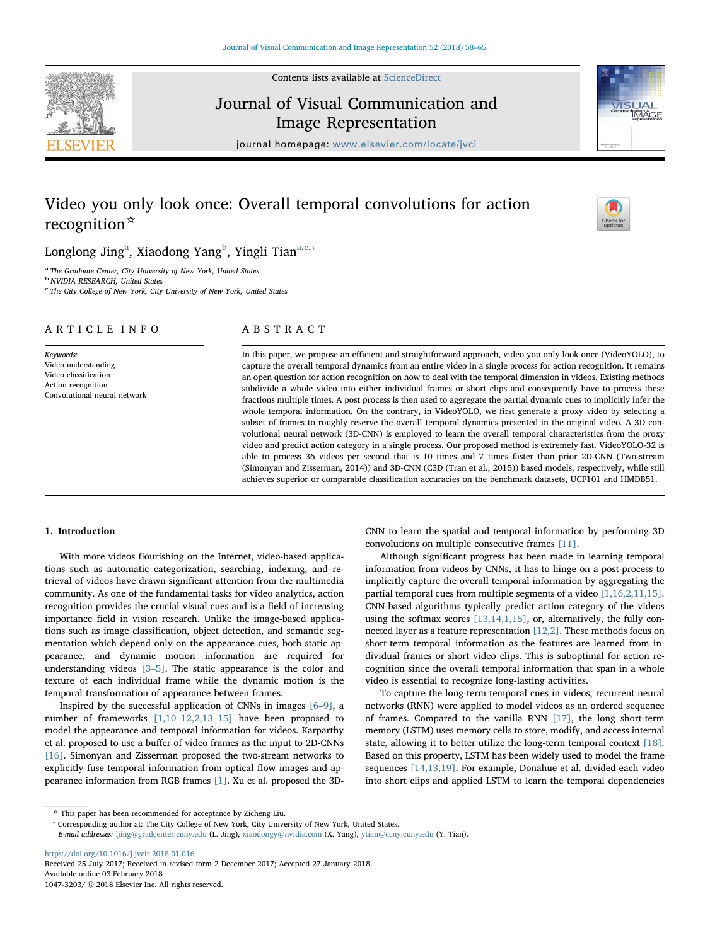Contents lists available at [ScienceDirect](http://www.sciencedirect.com/science/journal/10473203)

# Journal of Visual Communication and Image Representation

journal homepage: [www.elsevier.com/locate/jvci](https://www.elsevier.com/locate/jvci)

# Video you only look once: Overall temporal convolutions for action recognition☆

# Longlong Jing $^{\rm a}$  $^{\rm a}$  $^{\rm a}$ , Xiaodong Yang $^{\rm b}$  $^{\rm b}$  $^{\rm b}$ , Yingli Tian $^{\rm a,c,*}$  $^{\rm a,c,*}$  $^{\rm a,c,*}$

<span id="page-0-0"></span>The Graduate Center, City University of New York, United States

<span id="page-0-1"></span><sup>b</sup> NVIDIA RESEARCH, United States

<span id="page-0-2"></span><sup>c</sup> The City College of New York, City University of New York, United States

# ARTICLE INFO

Keywords: Video understanding Video classification Action recognition Convolutional neural network

# ABSTRACT

In this paper, we propose an efficient and straightforward approach, video you only look once (VideoYOLO), to capture the overall temporal dynamics from an entire video in a single process for action recognition. It remains an open question for action recognition on how to deal with the temporal dimension in videos. Existing methods subdivide a whole video into either individual frames or short clips and consequently have to process these fractions multiple times. A post process is then used to aggregate the partial dynamic cues to implicitly infer the whole temporal information. On the contrary, in VideoYOLO, we first generate a proxy video by selecting a subset of frames to roughly reserve the overall temporal dynamics presented in the original video. A 3D convolutional neural network (3D-CNN) is employed to learn the overall temporal characteristics from the proxy video and predict action category in a single process. Our proposed method is extremely fast. VideoYOLO-32 is able to process 36 videos per second that is 10 times and 7 times faster than prior 2D-CNN (Two-stream (Simonyan and Zisserman, 2014)) and 3D-CNN (C3D (Tran et al., 2015)) based models, respectively, while still achieves superior or comparable classification accuracies on the benchmark datasets, UCF101 and HMDB51.

## 1. Introduction

With more videos flourishing on the Internet, video-based applications such as automatic categorization, searching, indexing, and retrieval of videos have drawn significant attention from the multimedia community. As one of the fundamental tasks for video analytics, action recognition provides the crucial visual cues and is a field of increasing importance field in vision research. Unlike the image-based applications such as image classification, object detection, and semantic segmentation which depend only on the appearance cues, both static appearance, and dynamic motion information are required for understanding videos [3–[5\].](#page-7-0) The static appearance is the color and texture of each individual frame while the dynamic motion is the temporal transformation of appearance between frames.

Inspired by the successful application of CNNs in images  $[6-9]$  $[6-9]$ , a number of frameworks [1,10–[12,2,13](#page-7-2)–15] have been proposed to model the appearance and temporal information for videos. Karparthy et al. proposed to use a buffer of video frames as the input to 2D-CNNs [\[16\]](#page-7-3). Simonyan and Zisserman proposed the two-stream networks to explicitly fuse temporal information from optical flow images and appearance information from RGB frames [\[1\].](#page-7-2) Xu et al. proposed the 3D-

CNN to learn the spatial and temporal information by performing 3D convolutions on multiple consecutive frames [\[11\].](#page-7-4)

Although significant progress has been made in learning temporal information from videos by CNNs, it has to hinge on a post-process to implicitly capture the overall temporal information by aggregating the partial temporal cues from multiple segments of a video [\[1,16,2,11,15\]](#page-7-2). CNN-based algorithms typically predict action category of the videos using the softmax scores [\[13,14,1,15\]](#page-7-5), or, alternatively, the fully connected layer as a feature representation [\[12,2\].](#page-7-6) These methods focus on short-term temporal information as the features are learned from individual frames or short video clips. This is suboptimal for action recognition since the overall temporal information that span in a whole video is essential to recognize long-lasting activities.

To capture the long-term temporal cues in videos, recurrent neural networks (RNN) were applied to model videos as an ordered sequence of frames. Compared to the vanilla RNN [\[17\]](#page-7-7), the long short-term memory (LSTM) uses memory cells to store, modify, and access internal state, allowing it to better utilize the long-term temporal context [\[18\]](#page-7-8). Based on this property, LSTM has been widely used to model the frame sequences [\[14,13,19\].](#page-7-9) For example, Donahue et al. divided each video into short clips and applied LSTM to learn the temporal dependencies

<https://doi.org/10.1016/j.jvcir.2018.01.016> Received 25 July 2017; Received in revised form 2 December 2017; Accepted 27 January 2018 Available online 03 February 2018

1047-3203/ © 2018 Elsevier Inc. All rights reserved.







<span id="page-0-3"></span>

<sup>☆</sup> This paper has been recommended for acceptance by Zicheng Liu. ⁎ Corresponding author at: The City College of New York, City University of New York, United States.

E-mail addresses: [ljing@gradcenter.cuny.edu](mailto:ljing@gradcenter.cuny.edu) (L. Jing), [xiaodongy@nvidia.com](mailto:xiaodongy@nvidia.com) (X. Yang), [ytian@ccny.cuny.edu](mailto:ytian@ccny.cuny.edu) (Y. Tian).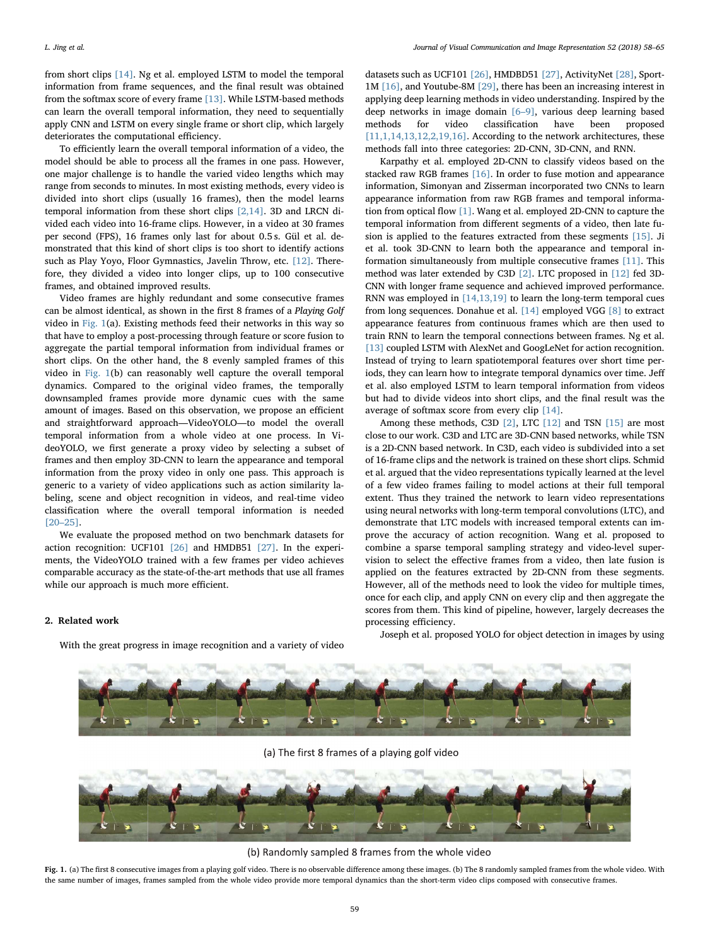from short clips [\[14\].](#page-7-9) Ng et al. employed LSTM to model the temporal information from frame sequences, and the final result was obtained from the softmax score of every frame [\[13\]](#page-7-5). While LSTM-based methods can learn the overall temporal information, they need to sequentially apply CNN and LSTM on every single frame or short clip, which largely deteriorates the computational efficiency.

To efficiently learn the overall temporal information of a video, the model should be able to process all the frames in one pass. However, one major challenge is to handle the varied video lengths which may range from seconds to minutes. In most existing methods, every video is divided into short clips (usually 16 frames), then the model learns temporal information from these short clips [\[2,14\]](#page-7-10). 3D and LRCN divided each video into 16-frame clips. However, in a video at 30 frames per second (FPS), 16 frames only last for about 0.5 s. Gül et al. demonstrated that this kind of short clips is too short to identify actions such as Play Yoyo, Floor Gymnastics, Javelin Throw, etc. [\[12\].](#page-7-6) Therefore, they divided a video into longer clips, up to 100 consecutive frames, and obtained improved results.

Video frames are highly redundant and some consecutive frames can be almost identical, as shown in the first 8 frames of a Playing Golf video in [Fig. 1](#page-1-0)(a). Existing methods feed their networks in this way so that have to employ a post-processing through feature or score fusion to aggregate the partial temporal information from individual frames or short clips. On the other hand, the 8 evenly sampled frames of this video in [Fig. 1\(](#page-1-0)b) can reasonably well capture the overall temporal dynamics. Compared to the original video frames, the temporally downsampled frames provide more dynamic cues with the same amount of images. Based on this observation, we propose an efficient and straightforward approach—VideoYOLO—to model the overall temporal information from a whole video at one process. In VideoYOLO, we first generate a proxy video by selecting a subset of frames and then employ 3D-CNN to learn the appearance and temporal information from the proxy video in only one pass. This approach is generic to a variety of video applications such as action similarity labeling, scene and object recognition in videos, and real-time video classification where the overall temporal information is needed [20–[25\]](#page-7-11).

We evaluate the proposed method on two benchmark datasets for action recognition: UCF101 [\[26\]](#page-7-12) and HMDB51 [\[27\]](#page-7-13). In the experiments, the VideoYOLO trained with a few frames per video achieves comparable accuracy as the state-of-the-art methods that use all frames while our approach is much more efficient.

## 2. Related work

With the great progress in image recognition and a variety of video

datasets such as UCF101 [\[26\]](#page-7-12), HMDBD51 [\[27\]](#page-7-13), ActivityNet [\[28\]](#page-7-14), Sport-1M [\[16\],](#page-7-3) and Youtube-8M [\[29\]](#page-7-15), there has been an increasing interest in applying deep learning methods in video understanding. Inspired by the deep networks in image domain [6–[9\],](#page-7-1) various deep learning based methods for video classification have been proposed  $\left[11,1,14,13,12,2,19,16\right]$  . According to the network architectures, these methods fall into three categories: 2D-CNN, 3D-CNN, and RNN.

Karpathy et al. employed 2D-CNN to classify videos based on the stacked raw RGB frames [\[16\].](#page-7-3) In order to fuse motion and appearance information, Simonyan and Zisserman incorporated two CNNs to learn appearance information from raw RGB frames and temporal information from optical flow [\[1\]](#page-7-2). Wang et al. employed 2D-CNN to capture the temporal information from different segments of a video, then late fusion is applied to the features extracted from these segments [\[15\]](#page-7-16). Ji et al. took 3D-CNN to learn both the appearance and temporal information simultaneously from multiple consecutive frames [\[11\].](#page-7-4) This method was later extended by C3D [\[2\]](#page-7-10). LTC proposed in [\[12\]](#page-7-6) fed 3D-CNN with longer frame sequence and achieved improved performance. RNN was employed in [\[14,13,19\]](#page-7-9) to learn the long-term temporal cues from long sequences. Donahue et al. [\[14\]](#page-7-9) employed VGG [\[8\]](#page-7-17) to extract appearance features from continuous frames which are then used to train RNN to learn the temporal connections between frames. Ng et al. [\[13\]](#page-7-5) coupled LSTM with AlexNet and GoogLeNet for action recognition. Instead of trying to learn spatiotemporal features over short time periods, they can learn how to integrate temporal dynamics over time. Jeff et al. also employed LSTM to learn temporal information from videos but had to divide videos into short clips, and the final result was the average of softmax score from every clip [\[14\]](#page-7-9).

Among these methods, C3D [\[2\]](#page-7-10), LTC [\[12\]](#page-7-6) and TSN [\[15\]](#page-7-16) are most close to our work. C3D and LTC are 3D-CNN based networks, while TSN is a 2D-CNN based network. In C3D, each video is subdivided into a set of 16-frame clips and the network is trained on these short clips. Schmid et al. argued that the video representations typically learned at the level of a few video frames failing to model actions at their full temporal extent. Thus they trained the network to learn video representations using neural networks with long-term temporal convolutions (LTC), and demonstrate that LTC models with increased temporal extents can improve the accuracy of action recognition. Wang et al. proposed to combine a sparse temporal sampling strategy and video-level supervision to select the effective frames from a video, then late fusion is applied on the features extracted by 2D-CNN from these segments. However, all of the methods need to look the video for multiple times, once for each clip, and apply CNN on every clip and then aggregate the scores from them. This kind of pipeline, however, largely decreases the processing efficiency.

Joseph et al. proposed YOLO for object detection in images by using

<span id="page-1-0"></span>

(a) The first 8 frames of a playing golf video



(b) Randomly sampled 8 frames from the whole video

Fig. 1. (a) The first 8 consecutive images from a playing golf video. There is no observable difference among these images. (b) The 8 randomly sampled frames from the whole video. With the same number of images, frames sampled from the whole video provide more temporal dynamics than the short-term video clips composed with consecutive frames.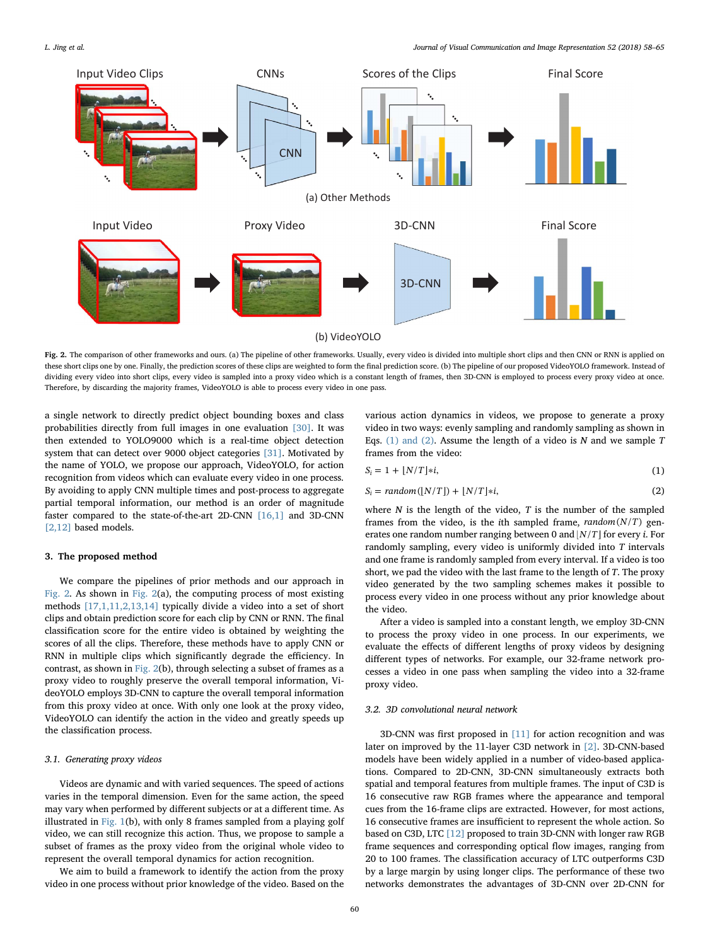<span id="page-2-0"></span>

Fig. 2. The comparison of other frameworks and ours. (a) The pipeline of other frameworks. Usually, every video is divided into multiple short clips and then CNN or RNN is applied on these short clips one by one. Finally, the prediction scores of these clips are weighted to form the final prediction score. (b) The pipeline of our proposed VideoYOLO framework. Instead of dividing every video into short clips, every video is sampled into a proxy video which is a constant length of frames, then 3D-CNN is employed to process every proxy video at once. Therefore, by discarding the majority frames, VideoYOLO is able to process every video in one pass.

a single network to directly predict object bounding boxes and class probabilities directly from full images in one evaluation [\[30\]](#page-7-18). It was then extended to YOLO9000 which is a real-time object detection system that can detect over 9000 object categories [\[31\].](#page-7-19) Motivated by the name of YOLO, we propose our approach, VideoYOLO, for action recognition from videos which can evaluate every video in one process. By avoiding to apply CNN multiple times and post-process to aggregate partial temporal information, our method is an order of magnitude faster compared to the state-of-the-art 2D-CNN [\[16,1\]](#page-7-3) and 3D-CNN [\[2,12\]](#page-7-10) based models.

## 3. The proposed method

We compare the pipelines of prior methods and our approach in [Fig. 2](#page-2-0). As shown in [Fig. 2\(](#page-2-0)a), the computing process of most existing methods [\[17,1,11,2,13,14\]](#page-7-7) typically divide a video into a set of short clips and obtain prediction score for each clip by CNN or RNN. The final classification score for the entire video is obtained by weighting the scores of all the clips. Therefore, these methods have to apply CNN or RNN in multiple clips which significantly degrade the efficiency. In contrast, as shown in [Fig. 2](#page-2-0)(b), through selecting a subset of frames as a proxy video to roughly preserve the overall temporal information, VideoYOLO employs 3D-CNN to capture the overall temporal information from this proxy video at once. With only one look at the proxy video, VideoYOLO can identify the action in the video and greatly speeds up the classification process.

## 3.1. Generating proxy videos

Videos are dynamic and with varied sequences. The speed of actions varies in the temporal dimension. Even for the same action, the speed may vary when performed by different subjects or at a different time. As illustrated in [Fig. 1](#page-1-0)(b), with only 8 frames sampled from a playing golf video, we can still recognize this action. Thus, we propose to sample a subset of frames as the proxy video from the original whole video to represent the overall temporal dynamics for action recognition.

We aim to build a framework to identify the action from the proxy video in one process without prior knowledge of the video. Based on the

various action dynamics in videos, we propose to generate a proxy video in two ways: evenly sampling and randomly sampling as shown in Eqs. [\(1\) and \(2\)](#page-2-1). Assume the length of a video is  $N$  and we sample  $T$ frames from the video:

<span id="page-2-1"></span>
$$
S_i = 1 + \lfloor N/T \rfloor * i,\tag{1}
$$

$$
S_i = random([N/T]) + [N/T]*i,
$$
\n(2)

where  $N$  is the length of the video,  $T$  is the number of the sampled frames from the video, is the *i*th sampled frame,  $random(N/T)$  generates one random number ranging between 0 and  $[N/T]$  for every *i*. For randomly sampling, every video is uniformly divided into T intervals and one frame is randomly sampled from every interval. If a video is too short, we pad the video with the last frame to the length of T. The proxy video generated by the two sampling schemes makes it possible to process every video in one process without any prior knowledge about the video.

After a video is sampled into a constant length, we employ 3D-CNN to process the proxy video in one process. In our experiments, we evaluate the effects of different lengths of proxy videos by designing different types of networks. For example, our 32-frame network processes a video in one pass when sampling the video into a 32-frame proxy video.

# 3.2. 3D convolutional neural network

3D-CNN was first proposed in [\[11\]](#page-7-4) for action recognition and was later on improved by the 11-layer C3D network in [\[2\]](#page-7-10). 3D-CNN-based models have been widely applied in a number of video-based applications. Compared to 2D-CNN, 3D-CNN simultaneously extracts both spatial and temporal features from multiple frames. The input of C3D is 16 consecutive raw RGB frames where the appearance and temporal cues from the 16-frame clips are extracted. However, for most actions, 16 consecutive frames are insufficient to represent the whole action. So based on C3D, LTC [\[12\]](#page-7-6) proposed to train 3D-CNN with longer raw RGB frame sequences and corresponding optical flow images, ranging from 20 to 100 frames. The classification accuracy of LTC outperforms C3D by a large margin by using longer clips. The performance of these two networks demonstrates the advantages of 3D-CNN over 2D-CNN for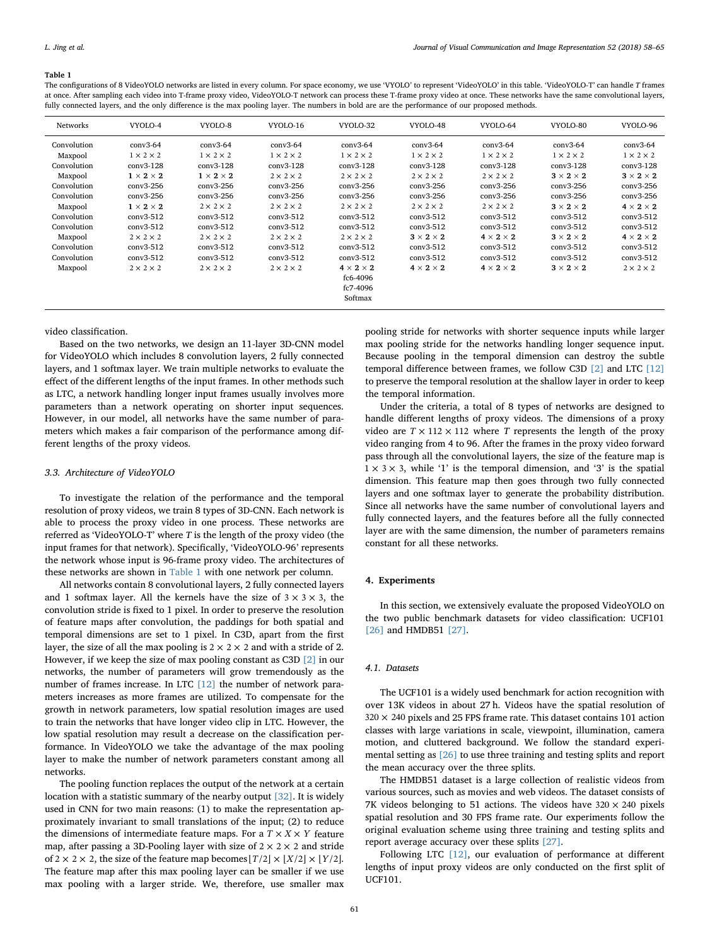#### <span id="page-3-0"></span>Table 1

The configurations of 8 VideoYOLO networks are listed in every column. For space economy, we use 'VYOLO' to represent 'VideoYOLO' in this table. 'VideoYOLO-T' can handle T frames at once. After sampling each video into T-frame proxy video, VideoYOLO-T network can process these T-frame proxy video at once. These networks have the same convolutional layers, fully connected layers, and the only difference is the max pooling layer. The numbers in bold are are the performance of our proposed methods.

| <b>Networks</b>        | VYOLO-4                              | VYOLO-8                              | VYOLO-16                             | VYOLO-32                                                 | VYOLO-48                             | VYOLO-64                             | VYOLO-80                             | VYOLO-96                             |
|------------------------|--------------------------------------|--------------------------------------|--------------------------------------|----------------------------------------------------------|--------------------------------------|--------------------------------------|--------------------------------------|--------------------------------------|
| Convolution            | $conv3-64$                           | $conv3-64$                           | $conv3-64$                           | $conv3-64$                                               | $conv3-64$                           | $conv3-64$                           | $conv3-64$                           | $conv3-64$                           |
| Maxpool<br>Convolution | $1 \times 2 \times 2$<br>$conv3-128$ | $1 \times 2 \times 2$<br>$conv3-128$ | $1 \times 2 \times 2$<br>$conv3-128$ | $1 \times 2 \times 2$<br>$conv3-128$                     | $1 \times 2 \times 2$<br>$conv3-128$ | $1 \times 2 \times 2$<br>$conv3-128$ | $1 \times 2 \times 2$<br>$conv3-128$ | $1 \times 2 \times 2$<br>$conv3-128$ |
| Maxpool<br>Convolution | $1 \times 2 \times 2$<br>conv3-256   | $1 \times 2 \times 2$<br>conv3-256   | $2 \times 2 \times 2$<br>$conv3-256$ | $2 \times 2 \times 2$<br>$conv3-256$                     | $2 \times 2 \times 2$<br>conv3-256   | $2 \times 2 \times 2$<br>$conv3-256$ | $3 \times 2 \times 2$<br>$conv3-256$ | $3 \times 2 \times 2$<br>conv3-256   |
| Convolution            | conv3-256                            | conv3-256                            | $conv3-256$                          | conv3-256                                                | conv3-256                            | conv3-256                            | $conv3-256$                          | conv3-256                            |
| Maxpool<br>Convolution | $1 \times 2 \times 2$<br>$conv3-512$ | $2 \times 2 \times 2$<br>$conv3-512$ | $2 \times 2 \times 2$<br>$conv3-512$ | $2 \times 2 \times 2$<br>$conv3-512$                     | $2 \times 2 \times 2$<br>$conv3-512$ | $2 \times 2 \times 2$<br>$conv3-512$ | $3 \times 2 \times 2$<br>$conv3-512$ | $4 \times 2 \times 2$<br>$conv3-512$ |
| Convolution            | $conv3-512$                          | $conv3-512$                          | $conv3-512$                          | $conv3-512$                                              | $conv3-512$                          | $conv3-512$                          | $conv3-512$                          | $conv3-512$                          |
| Maxpool<br>Convolution | $2 \times 2 \times 2$<br>$conv3-512$ | $2 \times 2 \times 2$<br>$conv3-512$ | $2 \times 2 \times 2$<br>$conv3-512$ | $2 \times 2 \times 2$<br>$conv3-512$                     | $3 \times 2 \times 2$<br>$conv3-512$ | $4 \times 2 \times 2$<br>$conv3-512$ | $3 \times 2 \times 2$<br>$conv3-512$ | $4 \times 2 \times 2$<br>$conv3-512$ |
| Convolution            | $conv3-512$                          | $conv3-512$                          | $conv3-512$                          | $conv3-512$                                              | $conv3-512$                          | $conv3-512$                          | $conv3-512$                          | $conv3-512$                          |
| Maxpool                | $2 \times 2 \times 2$                | $2 \times 2 \times 2$                | $2 \times 2 \times 2$                | $4 \times 2 \times 2$<br>fc6-4096<br>fc7-4096<br>Softmax | $4 \times 2 \times 2$                | $4 \times 2 \times 2$                | $3 \times 2 \times 2$                | $2 \times 2 \times 2$                |

#### video classification.

Based on the two networks, we design an 11-layer 3D-CNN model for VideoYOLO which includes 8 convolution layers, 2 fully connected layers, and 1 softmax layer. We train multiple networks to evaluate the effect of the different lengths of the input frames. In other methods such as LTC, a network handling longer input frames usually involves more parameters than a network operating on shorter input sequences. However, in our model, all networks have the same number of parameters which makes a fair comparison of the performance among different lengths of the proxy videos.

## 3.3. Architecture of VideoYOLO

To investigate the relation of the performance and the temporal resolution of proxy videos, we train 8 types of 3D-CNN. Each network is able to process the proxy video in one process. These networks are referred as 'VideoYOLO-T' where T is the length of the proxy video (the input frames for that network). Specifically, 'VideoYOLO-96' represents the network whose input is 96-frame proxy video. The architectures of these networks are shown in [Table 1](#page-3-0) with one network per column.

All networks contain 8 convolutional layers, 2 fully connected layers and 1 softmax layer. All the kernels have the size of  $3 \times 3 \times 3$ , the convolution stride is fixed to 1 pixel. In order to preserve the resolution of feature maps after convolution, the paddings for both spatial and temporal dimensions are set to 1 pixel. In C3D, apart from the first layer, the size of all the max pooling is  $2 \times 2 \times 2$  and with a stride of 2. However, if we keep the size of max pooling constant as C3D [\[2\]](#page-7-10) in our networks, the number of parameters will grow tremendously as the number of frames increase. In LTC [\[12\]](#page-7-6) the number of network parameters increases as more frames are utilized. To compensate for the growth in network parameters, low spatial resolution images are used to train the networks that have longer video clip in LTC. However, the low spatial resolution may result a decrease on the classification performance. In VideoYOLO we take the advantage of the max pooling layer to make the number of network parameters constant among all networks.

The pooling function replaces the output of the network at a certain location with a statistic summary of the nearby output [\[32\].](#page-7-20) It is widely used in CNN for two main reasons: (1) to make the representation approximately invariant to small translations of the input; (2) to reduce the dimensions of intermediate feature maps. For a  $T \times X \times Y$  feature map, after passing a 3D-Pooling layer with size of  $2 \times 2 \times 2$  and stride of 2  $\times$  2  $\times$  2, the size of the feature map becomes  $[T/2] \times [X/2] \times [Y/2]$ . The feature map after this max pooling layer can be smaller if we use max pooling with a larger stride. We, therefore, use smaller max

pooling stride for networks with shorter sequence inputs while larger max pooling stride for the networks handling longer sequence input. Because pooling in the temporal dimension can destroy the subtle temporal difference between frames, we follow C3D [\[2\]](#page-7-10) and LTC [\[12\]](#page-7-6) to preserve the temporal resolution at the shallow layer in order to keep the temporal information.

Under the criteria, a total of 8 types of networks are designed to handle different lengths of proxy videos. The dimensions of a proxy video are  $T \times 112 \times 112$  where T represents the length of the proxy video ranging from 4 to 96. After the frames in the proxy video forward pass through all the convolutional layers, the size of the feature map is  $1 \times 3 \times 3$ , while '1' is the temporal dimension, and '3' is the spatial dimension. This feature map then goes through two fully connected layers and one softmax layer to generate the probability distribution. Since all networks have the same number of convolutional layers and fully connected layers, and the features before all the fully connected layer are with the same dimension, the number of parameters remains constant for all these networks.

## 4. Experiments

In this section, we extensively evaluate the proposed VideoYOLO on the two public benchmark datasets for video classification: UCF101 [\[26\]](#page-7-12) and HMDB51 [\[27\]](#page-7-13).

## 4.1. Datasets

The UCF101 is a widely used benchmark for action recognition with over 13K videos in about 27 h. Videos have the spatial resolution of  $320 \times 240$  pixels and 25 FPS frame rate. This dataset contains 101 action classes with large variations in scale, viewpoint, illumination, camera motion, and cluttered background. We follow the standard experimental setting as [\[26\]](#page-7-12) to use three training and testing splits and report the mean accuracy over the three splits.

The HMDB51 dataset is a large collection of realistic videos from various sources, such as movies and web videos. The dataset consists of 7K videos belonging to 51 actions. The videos have  $320 \times 240$  pixels spatial resolution and 30 FPS frame rate. Our experiments follow the original evaluation scheme using three training and testing splits and report average accuracy over these splits [\[27\].](#page-7-13)

Following LTC [\[12\]](#page-7-6), our evaluation of performance at different lengths of input proxy videos are only conducted on the first split of UCF101.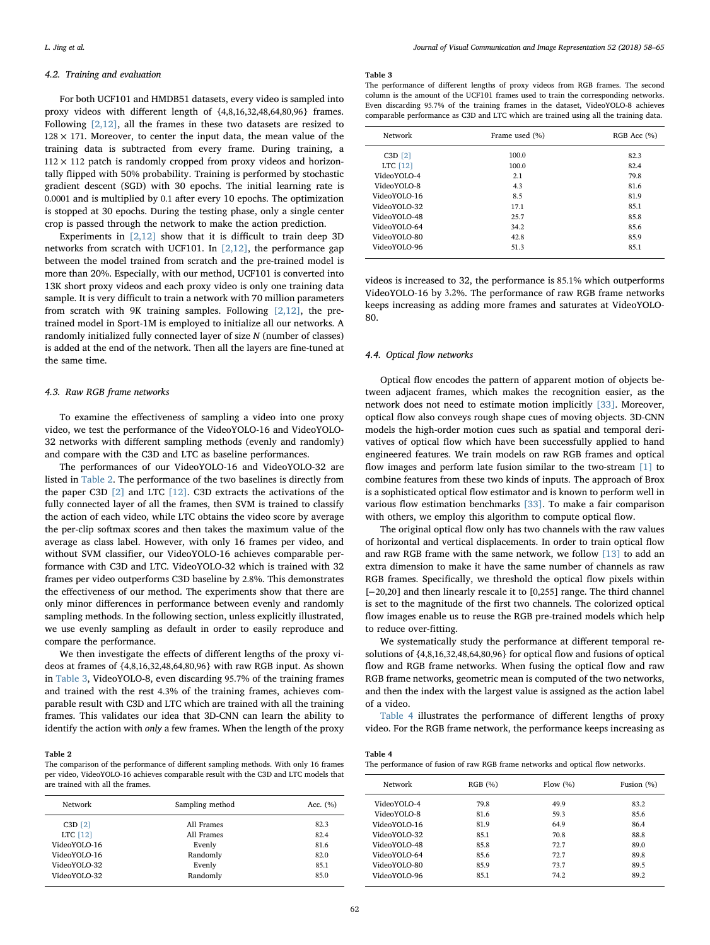#### 4.2. Training and evaluation

For both UCF101 and HMDB51 datasets, every video is sampled into proxy videos with different length of {4,8,16,32,48,64,80,96} frames. Following  $[2,12]$ , all the frames in these two datasets are resized to  $128 \times 171$ . Moreover, to center the input data, the mean value of the training data is subtracted from every frame. During training, a  $112 \times 112$  patch is randomly cropped from proxy videos and horizontally flipped with 50% probability. Training is performed by stochastic gradient descent (SGD) with 30 epochs. The initial learning rate is 0.0001 and is multiplied by 0.1 after every 10 epochs. The optimization is stopped at 30 epochs. During the testing phase, only a single center crop is passed through the network to make the action prediction.

Experiments in  $[2,12]$  show that it is difficult to train deep 3D networks from scratch with UCF101. In [\[2,12\]](#page-7-10), the performance gap between the model trained from scratch and the pre-trained model is more than 20%. Especially, with our method, UCF101 is converted into 13K short proxy videos and each proxy video is only one training data sample. It is very difficult to train a network with 70 million parameters from scratch with 9K training samples. Following  $[2,12]$ , the pretrained model in Sport-1M is employed to initialize all our networks. A randomly initialized fully connected layer of size N (number of classes) is added at the end of the network. Then all the layers are fine-tuned at the same time.

#### 4.3. Raw RGB frame networks

To examine the effectiveness of sampling a video into one proxy video, we test the performance of the VideoYOLO-16 and VideoYOLO-32 networks with different sampling methods (evenly and randomly) and compare with the C3D and LTC as baseline performances.

The performances of our VideoYOLO-16 and VideoYOLO-32 are listed in [Table 2.](#page-4-0) The performance of the two baselines is directly from the paper C3D [\[2\]](#page-7-10) and LTC [\[12\]](#page-7-6). C3D extracts the activations of the fully connected layer of all the frames, then SVM is trained to classify the action of each video, while LTC obtains the video score by average the per-clip softmax scores and then takes the maximum value of the average as class label. However, with only 16 frames per video, and without SVM classifier, our VideoYOLO-16 achieves comparable performance with C3D and LTC. VideoYOLO-32 which is trained with 32 frames per video outperforms C3D baseline by 2.8%. This demonstrates the effectiveness of our method. The experiments show that there are only minor differences in performance between evenly and randomly sampling methods. In the following section, unless explicitly illustrated, we use evenly sampling as default in order to easily reproduce and compare the performance.

We then investigate the effects of different lengths of the proxy videos at frames of {4,8,16,32,48,64,80,96} with raw RGB input. As shown in [Table 3](#page-4-1), VideoYOLO-8, even discarding 95.7% of the training frames and trained with the rest 4.3% of the training frames, achieves comparable result with C3D and LTC which are trained with all the training frames. This validates our idea that 3D-CNN can learn the ability to identify the action with only a few frames. When the length of the proxy

#### <span id="page-4-0"></span>Table 2

The comparison of the performance of different sampling methods. With only 16 frames per video, VideoYOLO-16 achieves comparable result with the C3D and LTC models that are trained with all the frames.

| Network      | Sampling method | Acc. $(\% )$ |  |
|--------------|-----------------|--------------|--|
| $C3D$ [2]    | All Frames      | 82.3         |  |
| LTC [12]     | All Frames      | 82.4         |  |
| VideoYOLO-16 | Evenly          | 81.6         |  |
| VideoYOLO-16 | Randomly        | 82.0         |  |
| VideoYOLO-32 | Evenly          | 85.1         |  |
| VideoYOLO-32 | Randomly        | 85.0         |  |

#### <span id="page-4-1"></span>Table 3

The performance of different lengths of proxy videos from RGB frames. The second column is the amount of the UCF101 frames used to train the corresponding networks. Even discarding 95.7% of the training frames in the dataset, VideoYOLO-8 achieves comparable performance as C3D and LTC which are trained using all the training data.

| Network      | Frame used (%) | RGB Acc (%) |  |
|--------------|----------------|-------------|--|
| $C3D$ [2]    | 100.0          | 82.3        |  |
| LTC [12]     | 100.0          | 82.4        |  |
| VideoYOLO-4  | 2.1            | 79.8        |  |
| VideoYOLO-8  | 4.3            | 81.6        |  |
| VideoYOLO-16 | 8.5            | 81.9        |  |
| VideoYOLO-32 | 17.1           | 85.1        |  |
| VideoYOLO-48 | 25.7           | 85.8        |  |
| VideoYOLO-64 | 34.2           | 85.6        |  |
| VideoYOLO-80 | 42.8           | 85.9        |  |
| VideoYOLO-96 | 51.3           | 85.1        |  |
|              |                |             |  |

videos is increased to 32, the performance is 85.1% which outperforms VideoYOLO-16 by 3.2%. The performance of raw RGB frame networks keeps increasing as adding more frames and saturates at VideoYOLO-80.

## 4.4. Optical flow networks

Optical flow encodes the pattern of apparent motion of objects between adjacent frames, which makes the recognition easier, as the network does not need to estimate motion implicitly [\[33\]](#page-7-21). Moreover, optical flow also conveys rough shape cues of moving objects. 3D-CNN models the high-order motion cues such as spatial and temporal derivatives of optical flow which have been successfully applied to hand engineered features. We train models on raw RGB frames and optical flow images and perform late fusion similar to the two-stream [\[1\]](#page-7-2) to combine features from these two kinds of inputs. The approach of Brox is a sophisticated optical flow estimator and is known to perform well in various flow estimation benchmarks [\[33\]](#page-7-21). To make a fair comparison with others, we employ this algorithm to compute optical flow.

The original optical flow only has two channels with the raw values of horizontal and vertical displacements. In order to train optical flow and raw RGB frame with the same network, we follow [\[13\]](#page-7-5) to add an extra dimension to make it have the same number of channels as raw RGB frames. Specifically, we threshold the optical flow pixels within [-20,20] and then linearly rescale it to [0,255] range. The third channel is set to the magnitude of the first two channels. The colorized optical flow images enable us to reuse the RGB pre-trained models which help to reduce over-fitting.

We systematically study the performance at different temporal resolutions of {4,8,16,32,48,64,80,96} for optical flow and fusions of optical flow and RGB frame networks. When fusing the optical flow and raw RGB frame networks, geometric mean is computed of the two networks, and then the index with the largest value is assigned as the action label of a video.

[Table 4](#page-4-2) illustrates the performance of different lengths of proxy video. For the RGB frame network, the performance keeps increasing as

<span id="page-4-2"></span>

The performance of fusion of raw RGB frame networks and optical flow networks.

| Network      | RGB (%) | Flow $(\% )$ | Fusion $(\% )$ |
|--------------|---------|--------------|----------------|
| VideoYOLO-4  | 79.8    | 49.9         | 83.2           |
| VideoYOLO-8  | 81.6    | 59.3         | 85.6           |
| VideoYOLO-16 | 81.9    | 64.9         | 86.4           |
| VideoYOLO-32 | 85.1    | 70.8         | 88.8           |
| VideoYOLO-48 | 85.8    | 72.7         | 89.0           |
| VideoYOLO-64 | 85.6    | 72.7         | 89.8           |
| VideoYOLO-80 | 85.9    | 73.7         | 89.5           |
| VideoYOLO-96 | 85.1    | 74.2         | 89.2           |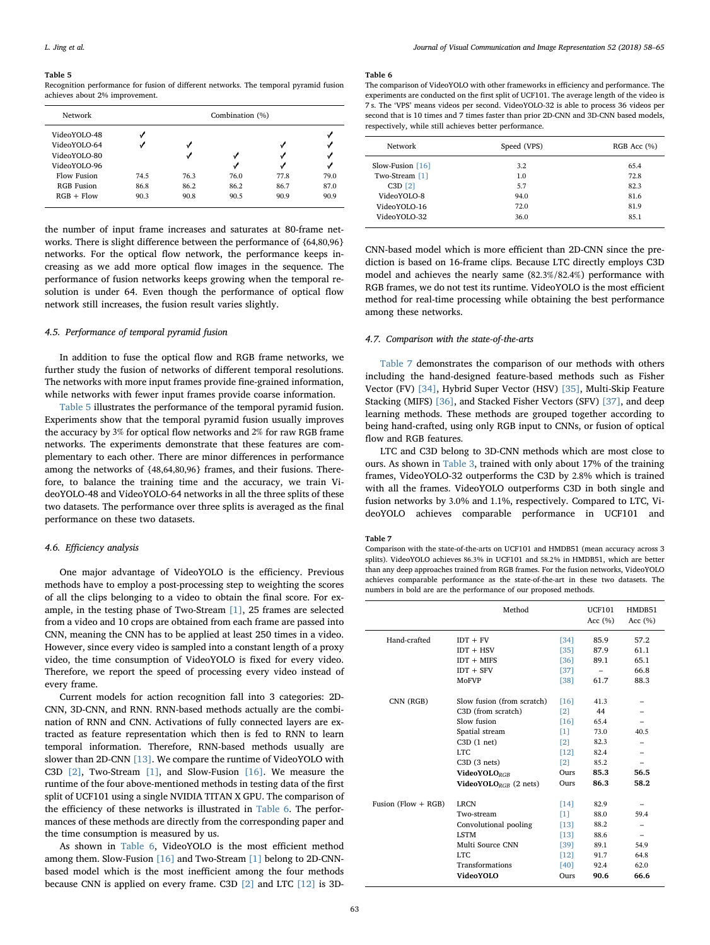#### <span id="page-5-0"></span>Table 5

Recognition performance for fusion of different networks. The temporal pyramid fusion achieves about 2% improvement.

| Network           |      | Combination (%) |      |      |      |
|-------------------|------|-----------------|------|------|------|
| VideoYOLO-48      |      |                 |      |      |      |
| VideoYOLO-64      |      |                 |      |      |      |
| VideoYOLO-80      |      |                 |      |      |      |
| VideoYOLO-96      |      |                 |      |      |      |
| Flow Fusion       | 74.5 | 76.3            | 76.0 | 77.8 | 79.0 |
| <b>RGB</b> Fusion | 86.8 | 86.2            | 86.2 | 86.7 | 87.0 |
| $RGB + Flow$      | 90.3 | 90.8            | 90.5 | 90.9 | 90.9 |

the number of input frame increases and saturates at 80-frame networks. There is slight difference between the performance of {64,80,96} networks. For the optical flow network, the performance keeps increasing as we add more optical flow images in the sequence. The performance of fusion networks keeps growing when the temporal resolution is under 64. Even though the performance of optical flow network still increases, the fusion result varies slightly.

### 4.5. Performance of temporal pyramid fusion

In addition to fuse the optical flow and RGB frame networks, we further study the fusion of networks of different temporal resolutions. The networks with more input frames provide fine-grained information, while networks with fewer input frames provide coarse information.

[Table 5](#page-5-0) illustrates the performance of the temporal pyramid fusion. Experiments show that the temporal pyramid fusion usually improves the accuracy by 3% for optical flow networks and 2% for raw RGB frame networks. The experiments demonstrate that these features are complementary to each other. There are minor differences in performance among the networks of {48,64,80,96} frames, and their fusions. Therefore, to balance the training time and the accuracy, we train VideoYOLO-48 and VideoYOLO-64 networks in all the three splits of these two datasets. The performance over three splits is averaged as the final performance on these two datasets.

## 4.6. Efficiency analysis

One major advantage of VideoYOLO is the efficiency. Previous methods have to employ a post-processing step to weighting the scores of all the clips belonging to a video to obtain the final score. For example, in the testing phase of Two-Stream [\[1\]](#page-7-2), 25 frames are selected from a video and 10 crops are obtained from each frame are passed into CNN, meaning the CNN has to be applied at least 250 times in a video. However, since every video is sampled into a constant length of a proxy video, the time consumption of VideoYOLO is fixed for every video. Therefore, we report the speed of processing every video instead of every frame.

Current models for action recognition fall into 3 categories: 2D-CNN, 3D-CNN, and RNN. RNN-based methods actually are the combination of RNN and CNN. Activations of fully connected layers are extracted as feature representation which then is fed to RNN to learn temporal information. Therefore, RNN-based methods usually are slower than 2D-CNN [\[13\]](#page-7-5). We compare the runtime of VideoYOLO with C3D [\[2\]](#page-7-10), Two-Stream [\[1\]](#page-7-2), and Slow-Fusion [\[16\].](#page-7-3) We measure the runtime of the four above-mentioned methods in testing data of the first split of UCF101 using a single NVIDIA TITAN X GPU. The comparison of the efficiency of these networks is illustrated in [Table 6](#page-5-1). The performances of these methods are directly from the corresponding paper and the time consumption is measured by us.

As shown in [Table 6,](#page-5-1) VideoYOLO is the most efficient method among them. Slow-Fusion [\[16\]](#page-7-3) and Two-Stream [\[1\]](#page-7-2) belong to 2D-CNNbased model which is the most inefficient among the four methods because CNN is applied on every frame. C3D [\[2\]](#page-7-10) and LTC [\[12\]](#page-7-6) is 3D-

#### <span id="page-5-1"></span>Table 6

The comparison of VideoYOLO with other frameworks in efficiency and performance. The experiments are conducted on the first split of UCF101. The average length of the video is 7 s. The 'VPS' means videos per second. VideoYOLO-32 is able to process 36 videos per second that is 10 times and 7 times faster than prior 2D-CNN and 3D-CNN based models, respectively, while still achieves better performance.

| Network            | Speed (VPS) | RGB Acc (%) |  |  |
|--------------------|-------------|-------------|--|--|
| Slow-Fusion $[16]$ | 3.2         | 65.4        |  |  |
| Two-Stream [1]     | 1.0         | 72.8        |  |  |
| $C3D$ [2]          | 5.7         | 82.3        |  |  |
| VideoYOLO-8        | 94.0        | 81.6        |  |  |
| VideoYOLO-16       | 72.0        | 81.9        |  |  |
| VideoYOLO-32       | 36.0        | 85.1        |  |  |
|                    |             |             |  |  |

CNN-based model which is more efficient than 2D-CNN since the prediction is based on 16-frame clips. Because LTC directly employs C3D model and achieves the nearly same (82.3%/82.4%) performance with RGB frames, we do not test its runtime. VideoYOLO is the most efficient method for real-time processing while obtaining the best performance among these networks.

## 4.7. Comparison with the state-of-the-arts

[Table 7](#page-5-2) demonstrates the comparison of our methods with others including the hand-designed feature-based methods such as Fisher Vector (FV) [\[34\]](#page-7-22), Hybrid Super Vector (HSV) [\[35\],](#page-7-23) Multi-Skip Feature Stacking (MIFS) [\[36\]](#page-7-24), and Stacked Fisher Vectors (SFV) [\[37\],](#page-7-25) and deep learning methods. These methods are grouped together according to being hand-crafted, using only RGB input to CNNs, or fusion of optical flow and RGB features.

LTC and C3D belong to 3D-CNN methods which are most close to ours. As shown in [Table 3](#page-4-1), trained with only about 17% of the training frames, VideoYOLO-32 outperforms the C3D by 2.8% which is trained with all the frames. VideoYOLO outperforms C3D in both single and fusion networks by 3.0% and 1.1%, respectively. Compared to LTC, VideoYOLO achieves comparable performance in UCF101 and

#### <span id="page-5-2"></span>Table 7

Comparison with the state-of-the-arts on UCF101 and HMDB51 (mean accuracy across 3 splits). VideoYOLO achieves 86.3% in UCF101 and 58.2% in HMDB51, which are better than any deep approaches trained from RGB frames. For the fusion networks, VideoYOLO achieves comparable performance as the state-of-the-art in these two datasets. The numbers in bold are are the performance of our proposed methods.

|                       | Method                                   |                   | <b>UCF101</b><br>Acc $(%$ | HMDB51<br>Acc $(% )$ |
|-----------------------|------------------------------------------|-------------------|---------------------------|----------------------|
| Hand-crafted          | $IDT + FV$                               | [34]              | 85.9                      | 57.2                 |
|                       | $IDT + HSV$                              | [35]              | 87.9                      | 61.1                 |
|                       | $IDT + MIFS$                             | [36]              | 89.1                      | 65.1                 |
|                       | $IDT + SFV$                              | $[37]$            |                           | 66.8                 |
|                       | <b>MoFVP</b>                             | [38]              | 61.7                      | 88.3                 |
| CNN (RGB)             | Slow fusion (from scratch)               | [16]              | 41.3                      |                      |
|                       | C3D (from scratch)                       | $\lceil 2 \rceil$ | 44                        |                      |
|                       | Slow fusion                              | [16]              | 65.4                      |                      |
|                       | Spatial stream                           | [1]               | 73.0                      | 40.5                 |
|                       | $C3D(1$ net)                             | [2]               | 82.3                      |                      |
|                       | LTC.                                     | [12]              | 82.4                      |                      |
|                       | C3D(3 nets)                              | [2]               | 85.2                      |                      |
|                       | <b>VideoYOLORGR</b>                      | Ours              | 85.3                      | 56.5                 |
|                       | <b>VideoYOLO</b> <sub>RGB</sub> (2 nets) | Ours              | 86.3                      | 58.2                 |
| Fusion (Flow $+$ RGB) | <b>LRCN</b>                              | [14]              | 82.9                      |                      |
|                       | Two-stream                               | [1]               | 88.0                      | 59.4                 |
|                       | Convolutional pooling                    | $[13]$            | 88.2                      |                      |
|                       | <b>LSTM</b>                              | [13]              | 88.6                      |                      |
|                       | Multi Source CNN                         | [39]              | 89.1                      | 54.9                 |
|                       | <b>LTC</b>                               | [12]              | 91.7                      | 64.8                 |
|                       | Transformations                          | [40]              | 92.4                      | 62.0                 |
|                       | VideoYOLO                                | Ours              | 90.6                      | 66.6                 |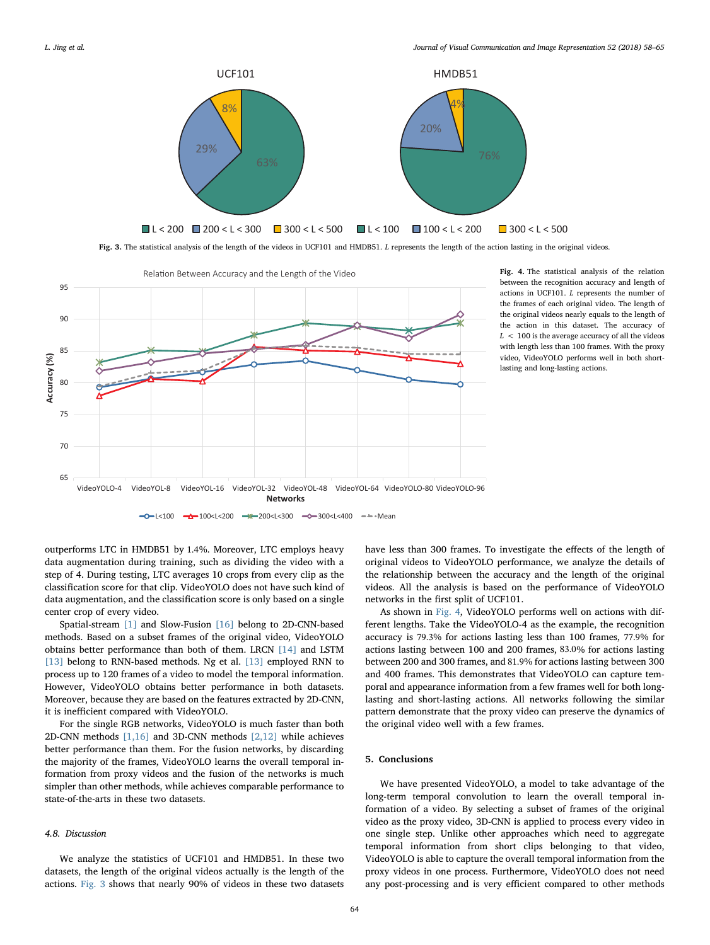<span id="page-6-0"></span>

Fig. 3. The statistical analysis of the length of the videos in UCF101 and HMDB51. L represents the length of the action lasting in the original videos.

<span id="page-6-1"></span>

Fig. 4. The statistical analysis of the relation between the recognition accuracy and length of actions in UCF101. L represents the number of the frames of each original video. The length of the original videos nearly equals to the length of the action in this dataset. The accuracy of  $L < 100$  is the average accuracy of all the videos with length less than 100 frames. With the proxy video, VideoYOLO performs well in both shortlasting and long-lasting actions.

outperforms LTC in HMDB51 by 1.4%. Moreover, LTC employs heavy data augmentation during training, such as dividing the video with a step of 4. During testing, LTC averages 10 crops from every clip as the classification score for that clip. VideoYOLO does not have such kind of data augmentation, and the classification score is only based on a single center crop of every video.

Spatial-stream [\[1\]](#page-7-2) and Slow-Fusion [\[16\]](#page-7-3) belong to 2D-CNN-based methods. Based on a subset frames of the original video, VideoYOLO obtains better performance than both of them. LRCN [\[14\]](#page-7-9) and LSTM [\[13\]](#page-7-5) belong to RNN-based methods. Ng et al. [13] employed RNN to process up to 120 frames of a video to model the temporal information. However, VideoYOLO obtains better performance in both datasets. Moreover, because they are based on the features extracted by 2D-CNN, it is inefficient compared with VideoYOLO.

For the single RGB networks, VideoYOLO is much faster than both 2D-CNN methods [\[1,16\]](#page-7-2) and 3D-CNN methods [\[2,12\]](#page-7-10) while achieves better performance than them. For the fusion networks, by discarding the majority of the frames, VideoYOLO learns the overall temporal information from proxy videos and the fusion of the networks is much simpler than other methods, while achieves comparable performance to state-of-the-arts in these two datasets.

### 4.8. Discussion

We analyze the statistics of UCF101 and HMDB51. In these two datasets, the length of the original videos actually is the length of the actions. [Fig. 3](#page-6-0) shows that nearly 90% of videos in these two datasets have less than 300 frames. To investigate the effects of the length of original videos to VideoYOLO performance, we analyze the details of the relationship between the accuracy and the length of the original videos. All the analysis is based on the performance of VideoYOLO networks in the first split of UCF101.

As shown in [Fig. 4](#page-6-1), VideoYOLO performs well on actions with different lengths. Take the VideoYOLO-4 as the example, the recognition accuracy is 79.3% for actions lasting less than 100 frames, 77.9% for actions lasting between 100 and 200 frames, 83.0% for actions lasting between 200 and 300 frames, and 81.9% for actions lasting between 300 and 400 frames. This demonstrates that VideoYOLO can capture temporal and appearance information from a few frames well for both longlasting and short-lasting actions. All networks following the similar pattern demonstrate that the proxy video can preserve the dynamics of the original video well with a few frames.

### 5. Conclusions

We have presented VideoYOLO, a model to take advantage of the long-term temporal convolution to learn the overall temporal information of a video. By selecting a subset of frames of the original video as the proxy video, 3D-CNN is applied to process every video in one single step. Unlike other approaches which need to aggregate temporal information from short clips belonging to that video, VideoYOLO is able to capture the overall temporal information from the proxy videos in one process. Furthermore, VideoYOLO does not need any post-processing and is very efficient compared to other methods